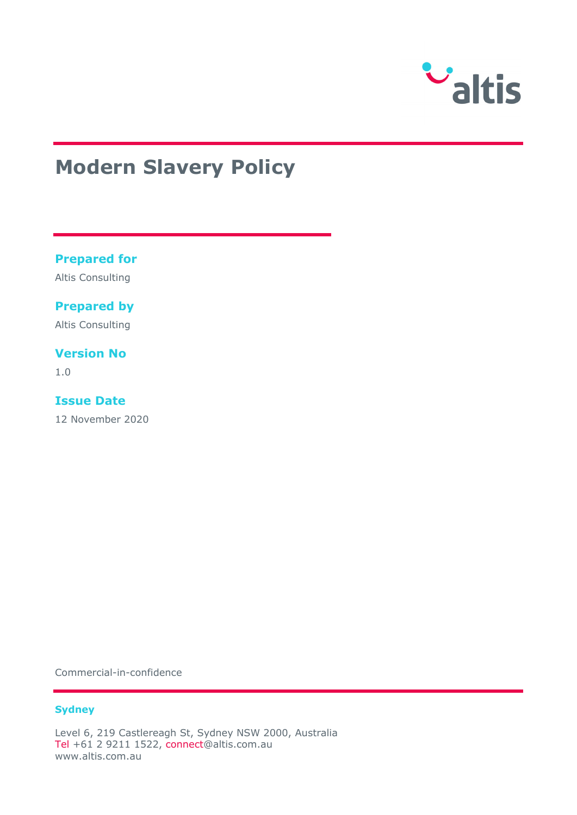

# **Modern Slavery Policy**

### **Prepared for**

Altis Consulting

### **Prepared by**

Altis Consulting

### **Version No**

1.0

### **Issue Date**

12 November 2020

Commercial-in-confidence

#### **Sydney**

Level 6, 219 Castlereagh St, Sydney NSW 2000, Australia Tel +61 2 9211 1522, connect@altis.com.au www.altis.com.au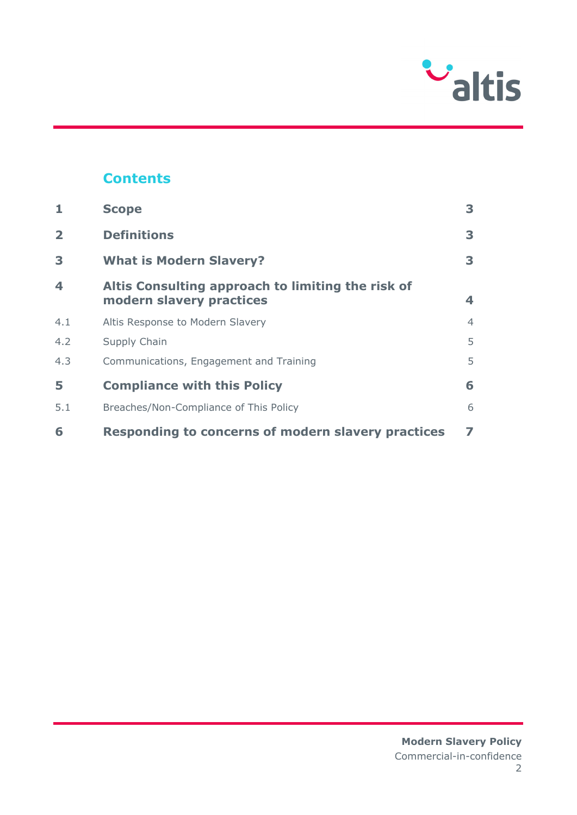

# **Contents**

| 1                       | <b>Scope</b>                                                                  | 3              |
|-------------------------|-------------------------------------------------------------------------------|----------------|
| $\overline{\mathbf{2}}$ | <b>Definitions</b>                                                            | 3              |
| 3                       | <b>What is Modern Slavery?</b>                                                | 3              |
| 4                       | Altis Consulting approach to limiting the risk of<br>modern slavery practices | 4              |
| 4.1                     | Altis Response to Modern Slavery                                              | $\overline{4}$ |
| 4.2                     | Supply Chain                                                                  | 5              |
| 4.3                     | Communications, Engagement and Training                                       | 5              |
| 5                       | <b>Compliance with this Policy</b>                                            | 6              |
| 5.1                     | Breaches/Non-Compliance of This Policy                                        | 6              |
| 6                       | Responding to concerns of modern slavery practices                            | 7              |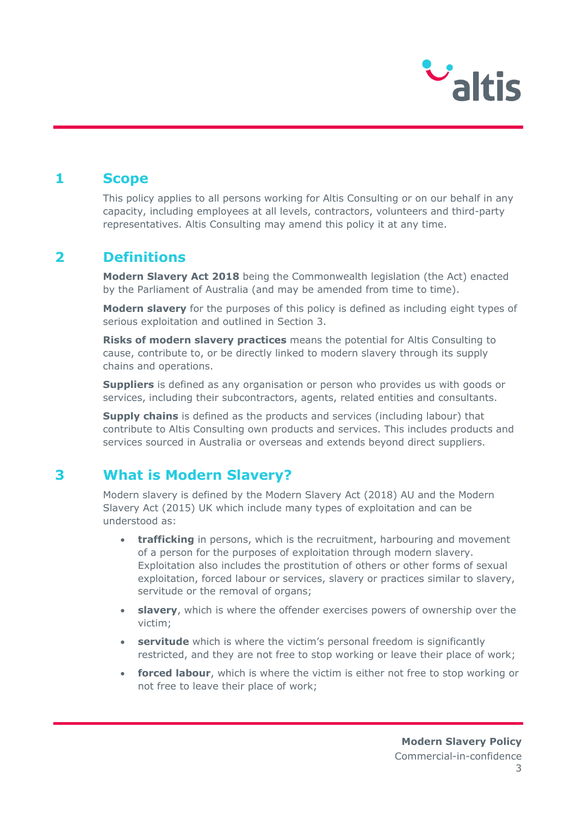

### **1 Scope**

This policy applies to all persons working for Altis Consulting or on our behalf in any capacity, including employees at all levels, contractors, volunteers and third-party representatives. Altis Consulting may amend this policy it at any time.

# **2 Definitions**

**Modern Slavery Act 2018** being the Commonwealth legislation (the Act) enacted by the Parliament of Australia (and may be amended from time to time).

**Modern slavery** for the purposes of this policy is defined as including eight types of serious exploitation and outlined in Section 3.

**Risks of modern slavery practices** means the potential for Altis Consulting to cause, contribute to, or be directly linked to modern slavery through its supply chains and operations.

**Suppliers** is defined as any organisation or person who provides us with goods or services, including their subcontractors, agents, related entities and consultants.

**Supply chains** is defined as the products and services (including labour) that contribute to Altis Consulting own products and services. This includes products and services sourced in Australia or overseas and extends beyond direct suppliers.

# **3 What is Modern Slavery?**

Modern slavery is defined by the Modern Slavery Act (2018) AU and the Modern Slavery Act (2015) UK which include many types of exploitation and can be understood as:

- **trafficking** in persons, which is the recruitment, harbouring and movement of a person for the purposes of exploitation through modern slavery. Exploitation also includes the prostitution of others or other forms of sexual exploitation, forced labour or services, slavery or practices similar to slavery, servitude or the removal of organs;
- **slavery**, which is where the offender exercises powers of ownership over the victim;
- **servitude** which is where the victim's personal freedom is significantly restricted, and they are not free to stop working or leave their place of work;
- **forced labour**, which is where the victim is either not free to stop working or not free to leave their place of work;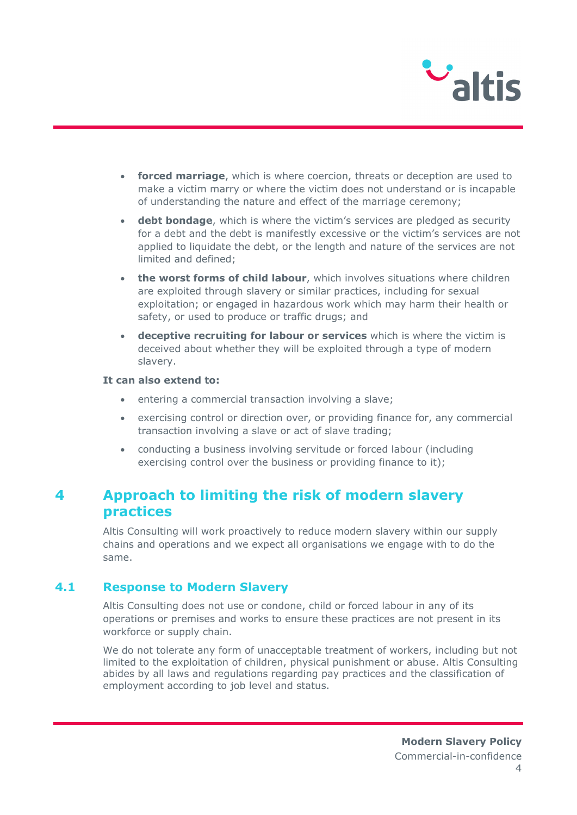

- **forced marriage**, which is where coercion, threats or deception are used to make a victim marry or where the victim does not understand or is incapable of understanding the nature and effect of the marriage ceremony;
- **debt bondage**, which is where the victim's services are pledged as security for a debt and the debt is manifestly excessive or the victim's services are not applied to liquidate the debt, or the length and nature of the services are not limited and defined;
- **the worst forms of child labour**, which involves situations where children are exploited through slavery or similar practices, including for sexual exploitation; or engaged in hazardous work which may harm their health or safety, or used to produce or traffic drugs; and
- **deceptive recruiting for labour or services** which is where the victim is deceived about whether they will be exploited through a type of modern slavery.

#### **It can also extend to:**

- entering a commercial transaction involving a slave;
- exercising control or direction over, or providing finance for, any commercial transaction involving a slave or act of slave trading;
- conducting a business involving servitude or forced labour (including exercising control over the business or providing finance to it);

# **4 Approach to limiting the risk of modern slavery practices**

Altis Consulting will work proactively to reduce modern slavery within our supply chains and operations and we expect all organisations we engage with to do the same.

### **4.1 Response to Modern Slavery**

Altis Consulting does not use or condone, child or forced labour in any of its operations or premises and works to ensure these practices are not present in its workforce or supply chain.

We do not tolerate any form of unacceptable treatment of workers, including but not limited to the exploitation of children, physical punishment or abuse. Altis Consulting abides by all laws and regulations regarding pay practices and the classification of employment according to job level and status.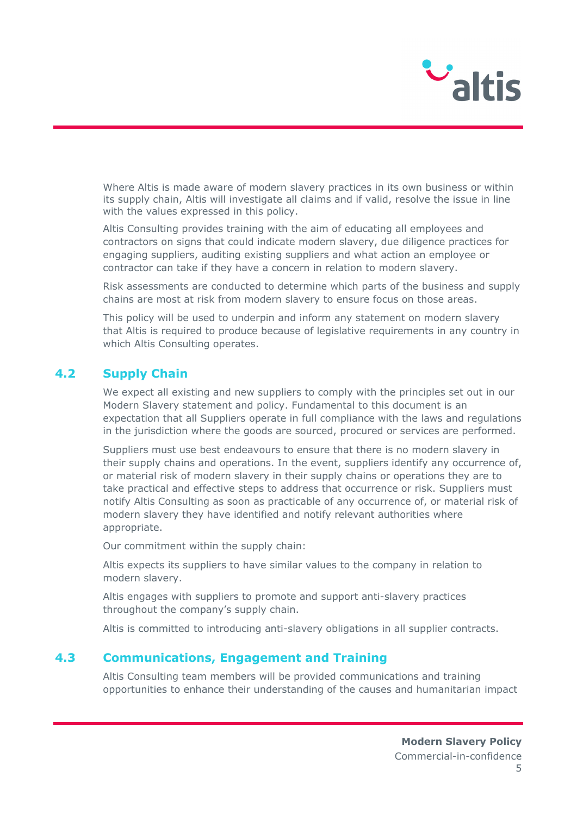

Where Altis is made aware of modern slavery practices in its own business or within its supply chain, Altis will investigate all claims and if valid, resolve the issue in line with the values expressed in this policy.

Altis Consulting provides training with the aim of educating all employees and contractors on signs that could indicate modern slavery, due diligence practices for engaging suppliers, auditing existing suppliers and what action an employee or contractor can take if they have a concern in relation to modern slavery.

Risk assessments are conducted to determine which parts of the business and supply chains are most at risk from modern slavery to ensure focus on those areas.

This policy will be used to underpin and inform any statement on modern slavery that Altis is required to produce because of legislative requirements in any country in which Altis Consulting operates.

### **4.2 Supply Chain**

We expect all existing and new suppliers to comply with the principles set out in our Modern Slavery statement and policy. Fundamental to this document is an expectation that all Suppliers operate in full compliance with the laws and regulations in the jurisdiction where the goods are sourced, procured or services are performed.

Suppliers must use best endeavours to ensure that there is no modern slavery in their supply chains and operations. In the event, suppliers identify any occurrence of, or material risk of modern slavery in their supply chains or operations they are to take practical and effective steps to address that occurrence or risk. Suppliers must notify Altis Consulting as soon as practicable of any occurrence of, or material risk of modern slavery they have identified and notify relevant authorities where appropriate.

Our commitment within the supply chain:

Altis expects its suppliers to have similar values to the company in relation to modern slavery.

Altis engages with suppliers to promote and support anti-slavery practices throughout the company's supply chain.

Altis is committed to introducing anti-slavery obligations in all supplier contracts.

#### **4.3 Communications, Engagement and Training**

Altis Consulting team members will be provided communications and training opportunities to enhance their understanding of the causes and humanitarian impact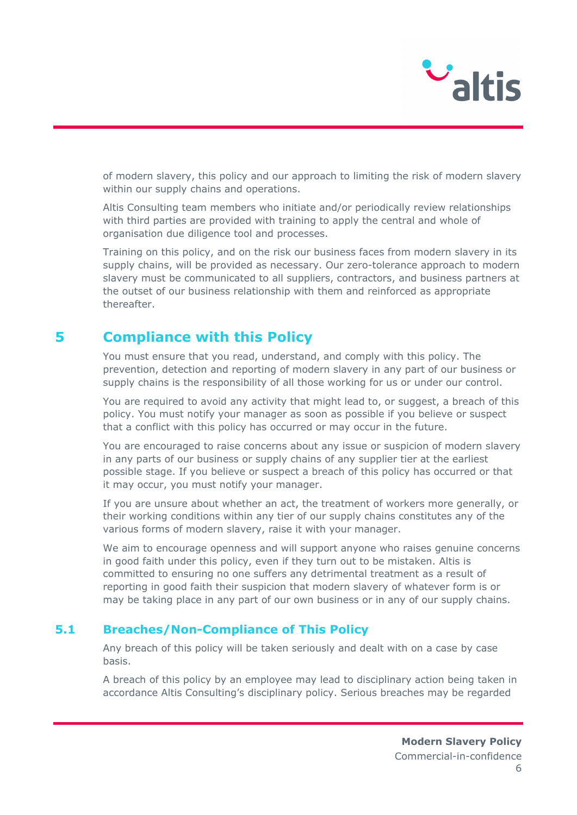

of modern slavery, this policy and our approach to limiting the risk of modern slavery within our supply chains and operations.

Altis Consulting team members who initiate and/or periodically review relationships with third parties are provided with training to apply the central and whole of organisation due diligence tool and processes.

Training on this policy, and on the risk our business faces from modern slavery in its supply chains, will be provided as necessary. Our zero-tolerance approach to modern slavery must be communicated to all suppliers, contractors, and business partners at the outset of our business relationship with them and reinforced as appropriate thereafter.

# **5 Compliance with this Policy**

You must ensure that you read, understand, and comply with this policy. The prevention, detection and reporting of modern slavery in any part of our business or supply chains is the responsibility of all those working for us or under our control.

You are required to avoid any activity that might lead to, or suggest, a breach of this policy. You must notify your manager as soon as possible if you believe or suspect that a conflict with this policy has occurred or may occur in the future.

You are encouraged to raise concerns about any issue or suspicion of modern slavery in any parts of our business or supply chains of any supplier tier at the earliest possible stage. If you believe or suspect a breach of this policy has occurred or that it may occur, you must notify your manager.

If you are unsure about whether an act, the treatment of workers more generally, or their working conditions within any tier of our supply chains constitutes any of the various forms of modern slavery, raise it with your manager.

We aim to encourage openness and will support anyone who raises genuine concerns in good faith under this policy, even if they turn out to be mistaken. Altis is committed to ensuring no one suffers any detrimental treatment as a result of reporting in good faith their suspicion that modern slavery of whatever form is or may be taking place in any part of our own business or in any of our supply chains.

#### **5.1 Breaches/Non-Compliance of This Policy**

Any breach of this policy will be taken seriously and dealt with on a case by case basis.

A breach of this policy by an employee may lead to disciplinary action being taken in accordance Altis Consulting's disciplinary policy. Serious breaches may be regarded